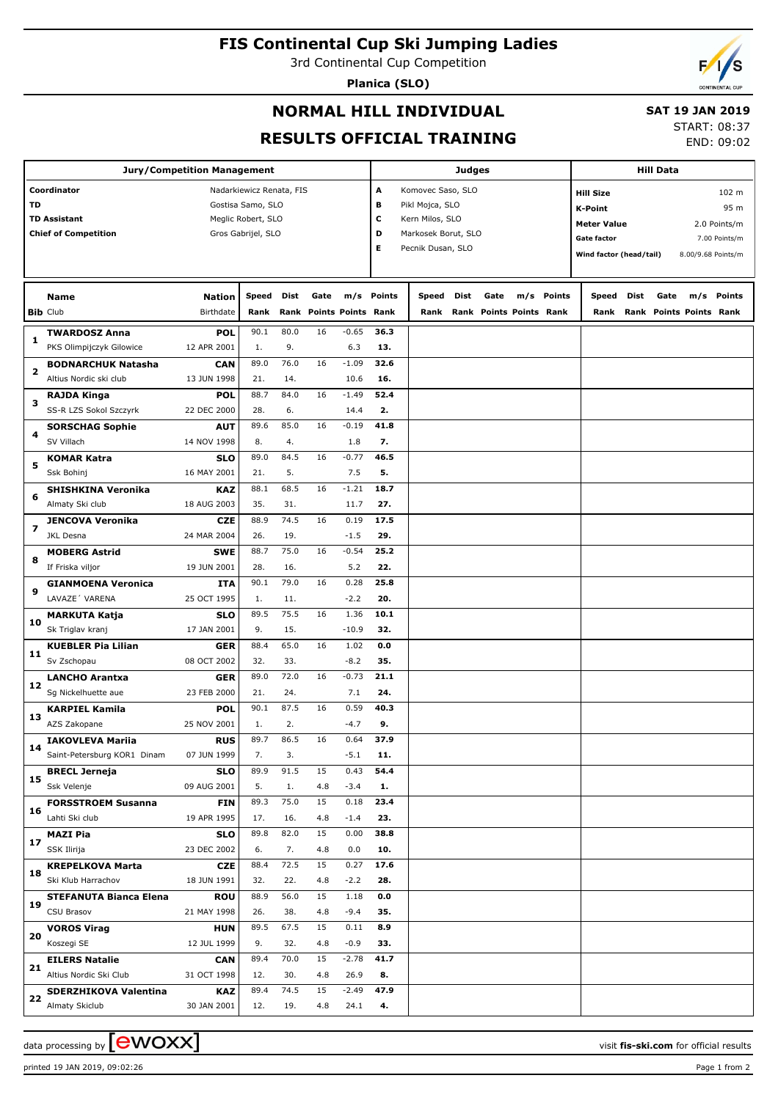# **FIS Continental Cup Ski Jumping Ladies**

3rd Continental Cup Competition

**Planica (SLO)**

## **NORMAL HILL INDIVIDUAL**

### **SAT 19 JAN 2019**

**RESULTS OFFICIAL TRAINING**

START: 08:37 END: 09:02

| <b>Jury/Competition Management</b> |                               |                  |                          |      |      |                           |                        |                     |      | <b>Hill Data</b>        |  |            |                           |      |      |                         |                    |  |
|------------------------------------|-------------------------------|------------------|--------------------------|------|------|---------------------------|------------------------|---------------------|------|-------------------------|--|------------|---------------------------|------|------|-------------------------|--------------------|--|
|                                    | Coordinator                   |                  | Nadarkiewicz Renata, FIS |      |      |                           | Α<br>Komovec Saso, SLO |                     |      |                         |  |            | 102 m<br><b>Hill Size</b> |      |      |                         |                    |  |
| TD                                 |                               |                  | Gostisa Samo, SLO        |      |      |                           | в                      | Pikl Mojca, SLO     |      | <b>K-Point</b>          |  |            |                           | 95 m |      |                         |                    |  |
|                                    | <b>TD Assistant</b>           |                  | Meglic Robert, SLO       |      |      |                           | c                      | Kern Milos, SLO     |      |                         |  |            |                           |      |      |                         |                    |  |
|                                    | <b>Chief of Competition</b>   |                  | Gros Gabrijel, SLO       |      |      |                           | D                      | Markosek Borut, SLO |      |                         |  |            | <b>Meter Value</b>        |      |      |                         | 2.0 Points/m       |  |
|                                    |                               |                  |                          |      |      |                           | Е                      | Pecnik Dusan, SLO   |      |                         |  |            | <b>Gate factor</b>        |      |      |                         | 7.00 Points/m      |  |
|                                    |                               |                  |                          |      |      |                           |                        |                     |      |                         |  |            | Wind factor (head/tail)   |      |      |                         | 8.00/9.68 Points/m |  |
|                                    |                               |                  |                          |      |      |                           |                        |                     |      |                         |  |            |                           |      |      |                         |                    |  |
|                                    | Name                          | <b>Nation</b>    | <b>Speed</b>             | Dist | Gate |                           | m/s Points             | Speed               | Dist | Gate                    |  | m/s Points | Speed                     | Dist | Gate |                         | m/s Points         |  |
|                                    | <b>Bib Club</b>               | <b>Birthdate</b> | Rank                     | Rank |      | <b>Points Points Rank</b> |                        | Rank                |      | Rank Points Points Rank |  |            | Rank                      |      |      | Rank Points Points Rank |                    |  |
|                                    | <b>TWARDOSZ Anna</b>          | <b>POL</b>       | 90.1                     | 80.0 | 16   | $-0.65$                   | 36.3                   |                     |      |                         |  |            |                           |      |      |                         |                    |  |
| 1                                  | PKS Olimpijczyk Gilowice      | 12 APR 2001      | 1.                       | 9.   |      | 6.3                       | 13.                    |                     |      |                         |  |            |                           |      |      |                         |                    |  |
|                                    | <b>BODNARCHUK Natasha</b>     | <b>CAN</b>       | 89.0                     | 76.0 | 16   | $-1.09$                   | 32.6                   |                     |      |                         |  |            |                           |      |      |                         |                    |  |
| 2                                  | Altius Nordic ski club        | 13 JUN 1998      | 21.                      | 14.  |      | 10.6                      | 16.                    |                     |      |                         |  |            |                           |      |      |                         |                    |  |
|                                    | RAJDA Kinga                   | <b>POL</b>       | 88.7                     | 84.0 | 16   | $-1.49$                   | 52.4                   |                     |      |                         |  |            |                           |      |      |                         |                    |  |
| з                                  | SS-R LZS Sokol Szczyrk        | 22 DEC 2000      | 28.                      | 6.   |      | 14.4                      | 2.                     |                     |      |                         |  |            |                           |      |      |                         |                    |  |
|                                    | <b>SORSCHAG Sophie</b>        | <b>AUT</b>       | 89.6                     | 85.0 | 16   | $-0.19$                   | 41.8                   |                     |      |                         |  |            |                           |      |      |                         |                    |  |
| 4                                  | SV Villach                    | 14 NOV 1998      | 8.                       | 4.   |      | 1.8                       | 7.                     |                     |      |                         |  |            |                           |      |      |                         |                    |  |
|                                    | KOMAR Katra                   | <b>SLO</b>       | 89.0                     | 84.5 | 16   | $-0.77$                   | 46.5                   |                     |      |                         |  |            |                           |      |      |                         |                    |  |
| 5                                  | Ssk Bohinj                    | 16 MAY 2001      | 21.                      | 5.   |      | 7.5                       | 5.                     |                     |      |                         |  |            |                           |      |      |                         |                    |  |
|                                    | <b>SHISHKINA Veronika</b>     | <b>KAZ</b>       | 88.1                     | 68.5 | 16   | $-1.21$                   | 18.7                   |                     |      |                         |  |            |                           |      |      |                         |                    |  |
| 6                                  | Almaty Ski club               | 18 AUG 2003      | 35.                      | 31.  |      | 11.7                      | 27.                    |                     |      |                         |  |            |                           |      |      |                         |                    |  |
|                                    | <b>JENCOVA Veronika</b>       | <b>CZE</b>       | 88.9                     | 74.5 | 16   | 0.19                      | 17.5                   |                     |      |                         |  |            |                           |      |      |                         |                    |  |
| $\overline{\phantom{a}}$           | JKL Desna                     | 24 MAR 2004      | 26.                      | 19.  |      | $-1.5$                    | 29.                    |                     |      |                         |  |            |                           |      |      |                         |                    |  |
|                                    | <b>MOBERG Astrid</b>          | <b>SWE</b>       | 88.7                     | 75.0 | 16   | $-0.54$                   | 25.2                   |                     |      |                         |  |            |                           |      |      |                         |                    |  |
| 8                                  | If Friska viljor              | 19 JUN 2001      | 28.                      | 16.  |      | 5.2                       | 22.                    |                     |      |                         |  |            |                           |      |      |                         |                    |  |
|                                    | <b>GIANMOENA Veronica</b>     | ITA              | 90.1                     | 79.0 | 16   | 0.28                      | 25.8                   |                     |      |                         |  |            |                           |      |      |                         |                    |  |
| 9                                  | LAVAZE' VARENA                | 25 OCT 1995      | 1.                       | 11.  |      | $-2.2$                    | 20.                    |                     |      |                         |  |            |                           |      |      |                         |                    |  |
|                                    | <b>MARKUTA Katja</b>          | <b>SLO</b>       | 89.5                     | 75.5 | 16   | 1.36                      | 10.1                   |                     |      |                         |  |            |                           |      |      |                         |                    |  |
| 10                                 | Sk Triglav kranj              | 17 JAN 2001      | 9.                       | 15.  |      | $-10.9$                   | 32.                    |                     |      |                         |  |            |                           |      |      |                         |                    |  |
|                                    | <b>KUEBLER Pia Lilian</b>     | <b>GER</b>       | 88.4                     | 65.0 | 16   | 1.02                      | 0.0                    |                     |      |                         |  |            |                           |      |      |                         |                    |  |
| 11                                 | Sv Zschopau                   | 08 OCT 2002      | 32.                      | 33.  |      | $-8.2$                    | 35.                    |                     |      |                         |  |            |                           |      |      |                         |                    |  |
|                                    | <b>LANCHO Arantxa</b>         | <b>GER</b>       | 89.0                     | 72.0 | 16   | $-0.73$                   | 21.1                   |                     |      |                         |  |            |                           |      |      |                         |                    |  |
| 12                                 | Sg Nickelhuette aue           | 23 FEB 2000      | 21.                      | 24.  |      | 7.1                       | 24.                    |                     |      |                         |  |            |                           |      |      |                         |                    |  |
|                                    | <b>KARPIEL Kamila</b>         | <b>POL</b>       | 90.1                     | 87.5 | 16   | 0.59                      | 40.3                   |                     |      |                         |  |            |                           |      |      |                         |                    |  |
| 13                                 | AZS Zakopane                  | 25 NOV 2001      | 1.                       | 2.   |      | $-4.7$                    | 9.                     |                     |      |                         |  |            |                           |      |      |                         |                    |  |
|                                    | <b>IAKOVLEVA Mariia</b>       | <b>RUS</b>       | 89.7                     | 86.5 | 16   | 0.64                      | 37.9                   |                     |      |                         |  |            |                           |      |      |                         |                    |  |
| 14                                 | Saint-Petersburg KOR1 Dinam   | 07 JUN 1999      | 7.                       | 3.   |      | $-5.1$                    | 11.                    |                     |      |                         |  |            |                           |      |      |                         |                    |  |
|                                    | <b>BRECL Jerneja</b>          | <b>SLO</b>       | 89.9                     | 91.5 | 15   | 0.43                      | 54.4                   |                     |      |                         |  |            |                           |      |      |                         |                    |  |
| 15                                 | Ssk Velenje                   | 09 AUG 2001      | 5.                       | 1.   | 4.8  | $-3.4$                    | 1.                     |                     |      |                         |  |            |                           |      |      |                         |                    |  |
|                                    | <b>FORSSTROEM Susanna</b>     | <b>FIN</b>       | 89.3                     | 75.0 | 15   | 0.18                      | 23.4                   |                     |      |                         |  |            |                           |      |      |                         |                    |  |
| 16                                 | Lahti Ski club                | 19 APR 1995      | 17.                      | 16.  | 4.8  | $-1.4$                    | 23.                    |                     |      |                         |  |            |                           |      |      |                         |                    |  |
|                                    | <b>MAZI Pia</b>               | <b>SLO</b>       | 89.8                     | 82.0 | 15   | 0.00                      | 38.8                   |                     |      |                         |  |            |                           |      |      |                         |                    |  |
| 17                                 | SSK Ilirija                   | 23 DEC 2002      | 6.                       | 7.   | 4.8  | 0.0                       | 10.                    |                     |      |                         |  |            |                           |      |      |                         |                    |  |
|                                    | <b>KREPELKOVA Marta</b>       | <b>CZE</b>       | 88.4                     | 72.5 | 15   | 0.27                      | 17.6                   |                     |      |                         |  |            |                           |      |      |                         |                    |  |
| 18                                 | Ski Klub Harrachov            | 18 JUN 1991      | 32.                      | 22.  | 4.8  | $-2.2$                    | 28.                    |                     |      |                         |  |            |                           |      |      |                         |                    |  |
|                                    | <b>STEFANUTA Bianca Elena</b> | <b>ROU</b>       | 88.9                     | 56.0 | 15   | 1.18                      | 0.0                    |                     |      |                         |  |            |                           |      |      |                         |                    |  |
| 19                                 | CSU Brasov                    | 21 MAY 1998      | 26.                      | 38.  | 4.8  | $-9.4$                    | 35.                    |                     |      |                         |  |            |                           |      |      |                         |                    |  |
|                                    | <b>VOROS Virag</b>            | <b>HUN</b>       | 89.5                     | 67.5 | 15   | 0.11                      | 8.9                    |                     |      |                         |  |            |                           |      |      |                         |                    |  |
| 20                                 | Koszegi SE                    | 12 JUL 1999      | 9.                       | 32.  | 4.8  | $-0.9$                    | 33.                    |                     |      |                         |  |            |                           |      |      |                         |                    |  |
|                                    | <b>EILERS Natalie</b>         | <b>CAN</b>       | 89.4                     | 70.0 | 15   | $-2.78$                   | 41.7                   |                     |      |                         |  |            |                           |      |      |                         |                    |  |
| 21                                 | Altius Nordic Ski Club        | 31 OCT 1998      | 12.                      | 30.  | 4.8  | 26.9                      | 8.                     |                     |      |                         |  |            |                           |      |      |                         |                    |  |
|                                    | <b>SDERZHIKOVA Valentina</b>  | <b>KAZ</b>       | 89.4                     | 74.5 | 15   | $-2.49$                   | 47.9                   |                     |      |                         |  |            |                           |      |      |                         |                    |  |
| 22                                 | Almaty Skiclub                | 30 JAN 2001      | 12.                      | 19.  | 4.8  | 24.1                      | 4.                     |                     |      |                         |  |            |                           |      |      |                         |                    |  |

data processing by  $\boxed{\text{ewOX}}$